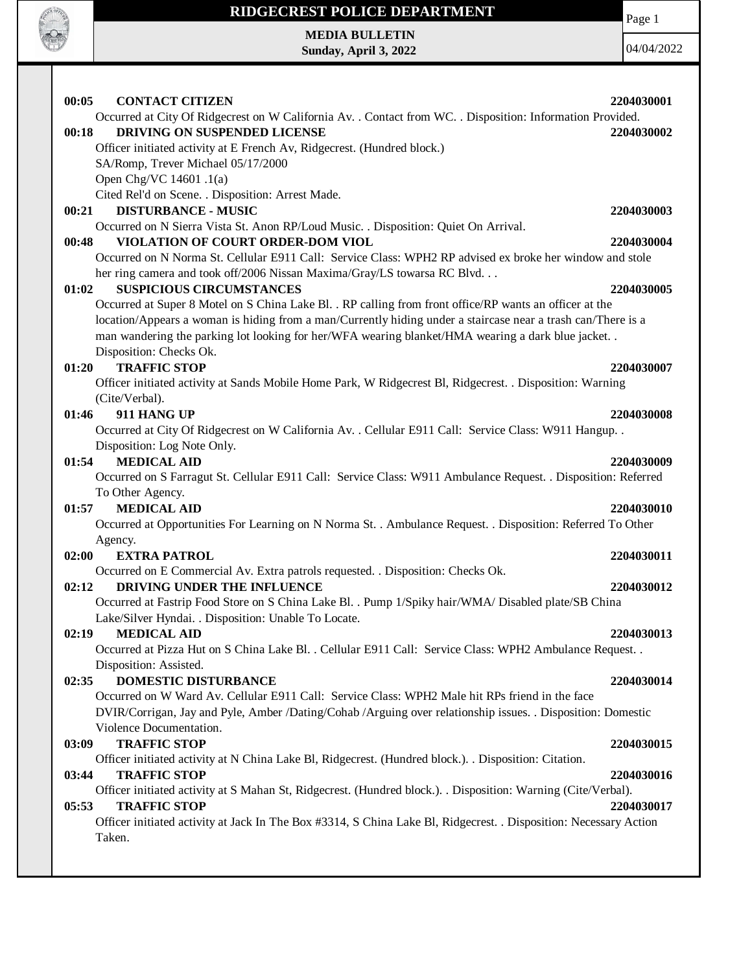

### **RIDGECREST POLICE DEPARTMENT MEDIA BULLETIN**

**Sunday, April 3, 2022**

Page 1

04/04/2022

| 00:05<br><b>CONTACT CITIZEN</b><br>Occurred at City Of Ridgecrest on W California Av. . Contact from WC. . Disposition: Information Provided.<br>DRIVING ON SUSPENDED LICENSE<br>00:18<br>Officer initiated activity at E French Av, Ridgecrest. (Hundred block.)<br>SA/Romp, Trever Michael 05/17/2000                                                                                                                                                                                                                                                                                                                                                                                                                                                                                                                                                | 2204030001<br>2204030002               |
|--------------------------------------------------------------------------------------------------------------------------------------------------------------------------------------------------------------------------------------------------------------------------------------------------------------------------------------------------------------------------------------------------------------------------------------------------------------------------------------------------------------------------------------------------------------------------------------------------------------------------------------------------------------------------------------------------------------------------------------------------------------------------------------------------------------------------------------------------------|----------------------------------------|
| Open Chg/VC 14601 .1(a)<br>Cited Rel'd on Scene. . Disposition: Arrest Made.<br><b>DISTURBANCE - MUSIC</b><br>00:21<br>Occurred on N Sierra Vista St. Anon RP/Loud Music. . Disposition: Quiet On Arrival.<br>00:48<br>VIOLATION OF COURT ORDER-DOM VIOL<br>Occurred on N Norma St. Cellular E911 Call: Service Class: WPH2 RP advised ex broke her window and stole<br>her ring camera and took off/2006 Nissan Maxima/Gray/LS towarsa RC Blvd.<br><b>SUSPICIOUS CIRCUMSTANCES</b><br>01:02<br>Occurred at Super 8 Motel on S China Lake Bl. . RP calling from front office/RP wants an officer at the<br>location/Appears a woman is hiding from a man/Currently hiding under a staircase near a trash can/There is a<br>man wandering the parking lot looking for her/WFA wearing blanket/HMA wearing a dark blue jacket<br>Disposition: Checks Ok. | 2204030003<br>2204030004<br>2204030005 |
| <b>TRAFFIC STOP</b><br>01:20<br>Officer initiated activity at Sands Mobile Home Park, W Ridgecrest Bl, Ridgecrest. . Disposition: Warning<br>(Cite/Verbal).<br>01:46<br>911 HANG UP<br>Occurred at City Of Ridgecrest on W California Av. . Cellular E911 Call: Service Class: W911 Hangup. .<br>Disposition: Log Note Only.                                                                                                                                                                                                                                                                                                                                                                                                                                                                                                                           | 2204030007<br>2204030008               |
| 01:54<br><b>MEDICAL AID</b><br>Occurred on S Farragut St. Cellular E911 Call: Service Class: W911 Ambulance Request. . Disposition: Referred<br>To Other Agency.<br><b>MEDICAL AID</b><br>01:57<br>Occurred at Opportunities For Learning on N Norma St. . Ambulance Request. . Disposition: Referred To Other                                                                                                                                                                                                                                                                                                                                                                                                                                                                                                                                         | 2204030009<br>2204030010               |
| Agency.<br>02:00<br><b>EXTRA PATROL</b><br>Occurred on E Commercial Av. Extra patrols requested. . Disposition: Checks Ok.<br>DRIVING UNDER THE INFLUENCE<br>02:12<br>Occurred at Fastrip Food Store on S China Lake Bl. . Pump 1/Spiky hair/WMA/ Disabled plate/SB China<br>Lake/Silver Hyndai. . Disposition: Unable To Locate.                                                                                                                                                                                                                                                                                                                                                                                                                                                                                                                      | 2204030011<br>2204030012               |
| <b>MEDICAL AID</b><br>02:19<br>Occurred at Pizza Hut on S China Lake Bl. . Cellular E911 Call: Service Class: WPH2 Ambulance Request. .<br>Disposition: Assisted.<br><b>DOMESTIC DISTURBANCE</b><br>02:35<br>Occurred on W Ward Av. Cellular E911 Call: Service Class: WPH2 Male hit RPs friend in the face<br>DVIR/Corrigan, Jay and Pyle, Amber /Dating/Cohab /Arguing over relationship issues. . Disposition: Domestic                                                                                                                                                                                                                                                                                                                                                                                                                             | 2204030013<br>2204030014               |
| Violence Documentation.<br><b>TRAFFIC STOP</b><br>03:09<br>Officer initiated activity at N China Lake Bl, Ridgecrest. (Hundred block.). Disposition: Citation.<br>03:44<br><b>TRAFFIC STOP</b><br>Officer initiated activity at S Mahan St, Ridgecrest. (Hundred block.). . Disposition: Warning (Cite/Verbal).<br><b>TRAFFIC STOP</b><br>05:53<br>Officer initiated activity at Jack In The Box #3314, S China Lake Bl, Ridgecrest. . Disposition: Necessary Action                                                                                                                                                                                                                                                                                                                                                                                   | 2204030015<br>2204030016<br>2204030017 |
| Taken.                                                                                                                                                                                                                                                                                                                                                                                                                                                                                                                                                                                                                                                                                                                                                                                                                                                 |                                        |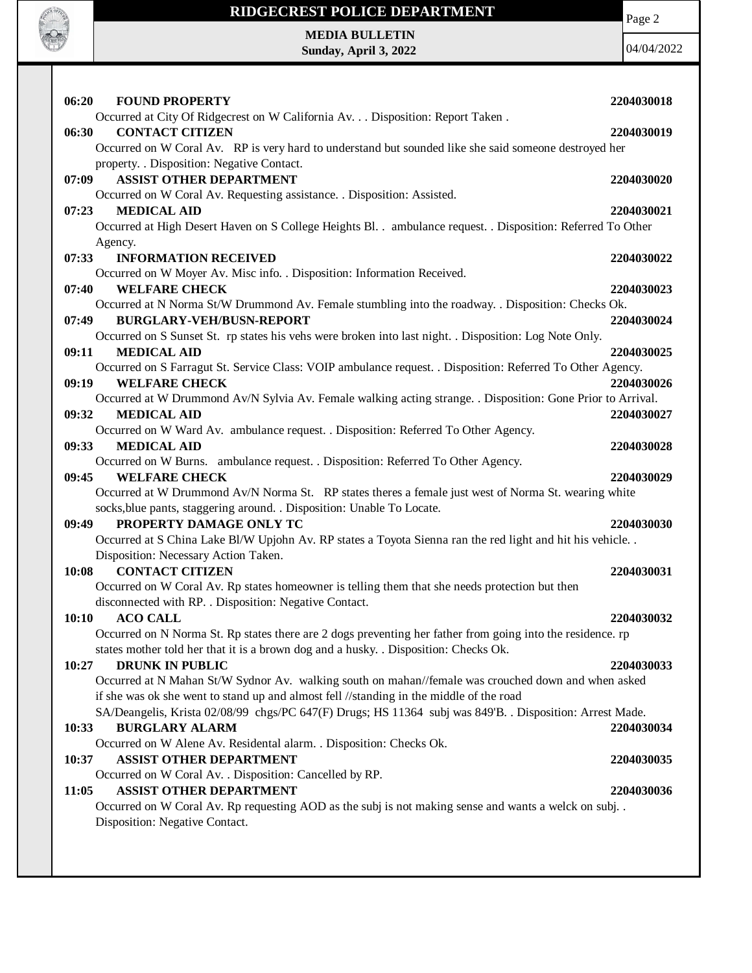

Page 2

**10:37 ASSIST OTHER DEPARTMENT 2204030035**

Occurred on W Coral Av. . Disposition: Cancelled by RP.

#### **11:05 ASSIST OTHER DEPARTMENT 2204030036**

Occurred on W Coral Av. Rp requesting AOD as the subj is not making sense and wants a welck on subj. . Disposition: Negative Contact.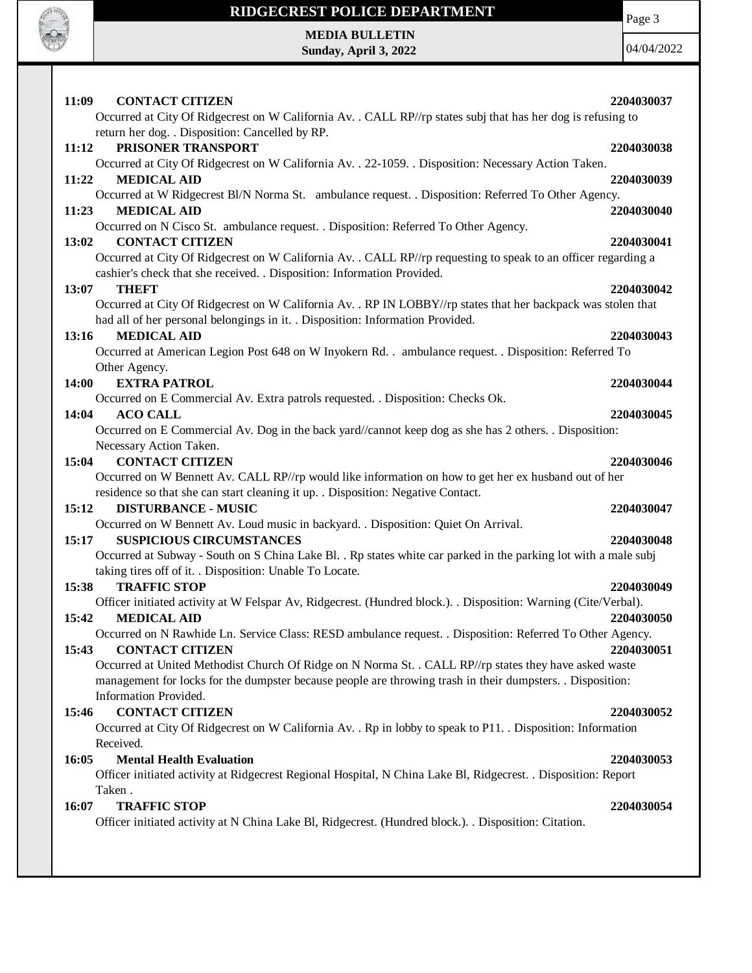

Page 3

**MEDIA BULLETIN Sunday, April 3, 2022**

04/04/2022

| 11:09<br><b>CONTACT CITIZEN</b><br>Occurred at City Of Ridgecrest on W California Av. . CALL RP//rp states subj that has her dog is refusing to | 2204030037 |
|-------------------------------------------------------------------------------------------------------------------------------------------------|------------|
| return her dog. . Disposition: Cancelled by RP.                                                                                                 |            |
| PRISONER TRANSPORT<br>11:12                                                                                                                     | 2204030038 |
| Occurred at City Of Ridgecrest on W California Av. . 22-1059. . Disposition: Necessary Action Taken.                                            |            |
| <b>MEDICAL AID</b><br>11:22                                                                                                                     | 2204030039 |
| Occurred at W Ridgecrest Bl/N Norma St. ambulance request. . Disposition: Referred To Other Agency.                                             |            |
| <b>MEDICAL AID</b><br>11:23                                                                                                                     | 2204030040 |
| Occurred on N Cisco St. ambulance request. . Disposition: Referred To Other Agency.<br><b>CONTACT CITIZEN</b><br>13:02                          | 2204030041 |
| Occurred at City Of Ridgecrest on W California Av. . CALL RP//rp requesting to speak to an officer regarding a                                  |            |
| cashier's check that she received. . Disposition: Information Provided.                                                                         |            |
| 13:07<br><b>THEFT</b>                                                                                                                           | 2204030042 |
| Occurred at City Of Ridgecrest on W California Av. . RP IN LOBBY//rp states that her backpack was stolen that                                   |            |
| had all of her personal belongings in it. . Disposition: Information Provided.                                                                  |            |
| 13:16<br><b>MEDICAL AID</b>                                                                                                                     | 2204030043 |
| Occurred at American Legion Post 648 on W Inyokern Rd. . ambulance request. . Disposition: Referred To<br>Other Agency.                         |            |
| <b>EXTRA PATROL</b><br>14:00                                                                                                                    | 2204030044 |
| Occurred on E Commercial Av. Extra patrols requested. . Disposition: Checks Ok.                                                                 |            |
| <b>ACO CALL</b><br>14:04                                                                                                                        | 2204030045 |
| Occurred on E Commercial Av. Dog in the back yard//cannot keep dog as she has 2 others. . Disposition:                                          |            |
| Necessary Action Taken.                                                                                                                         |            |
| <b>CONTACT CITIZEN</b><br>15:04                                                                                                                 | 2204030046 |
| Occurred on W Bennett Av. CALL RP//rp would like information on how to get her ex husband out of her                                            |            |
| residence so that she can start cleaning it up. . Disposition: Negative Contact.<br><b>DISTURBANCE - MUSIC</b><br>15:12                         | 2204030047 |
| Occurred on W Bennett Av. Loud music in backyard. . Disposition: Quiet On Arrival.                                                              |            |
| <b>SUSPICIOUS CIRCUMSTANCES</b><br>15:17                                                                                                        | 2204030048 |
| Occurred at Subway - South on S China Lake Bl. . Rp states white car parked in the parking lot with a male subj                                 |            |
| taking tires off of it. . Disposition: Unable To Locate.                                                                                        |            |
| 15:38<br><b>TRAFFIC STOP</b>                                                                                                                    | 2204030049 |
| Officer initiated activity at W Felspar Av, Ridgecrest. (Hundred block.). . Disposition: Warning (Cite/Verbal).                                 |            |
| <b>MEDICAL AID</b><br>15:42                                                                                                                     | 2204030050 |
| Occurred on N Rawhide Ln. Service Class: RESD ambulance request. . Disposition: Referred To Other Agency.<br><b>CONTACT CITIZEN</b>             | 2204030051 |
| 15:43<br>Occurred at United Methodist Church Of Ridge on N Norma St. . CALL RP//rp states they have asked waste                                 |            |
| management for locks for the dumpster because people are throwing trash in their dumpsters. . Disposition:                                      |            |
| Information Provided.                                                                                                                           |            |
| <b>CONTACT CITIZEN</b><br>15:46                                                                                                                 | 2204030052 |
| Occurred at City Of Ridgecrest on W California Av. . Rp in lobby to speak to P11. . Disposition: Information                                    |            |
| Received.                                                                                                                                       |            |
| <b>Mental Health Evaluation</b><br>16:05                                                                                                        | 2204030053 |
| Officer initiated activity at Ridgecrest Regional Hospital, N China Lake Bl, Ridgecrest. . Disposition: Report<br>Taken.                        |            |
| 16:07<br><b>TRAFFIC STOP</b>                                                                                                                    | 2204030054 |
| Officer initiated activity at N China Lake Bl, Ridgecrest. (Hundred block.). Disposition: Citation.                                             |            |
|                                                                                                                                                 |            |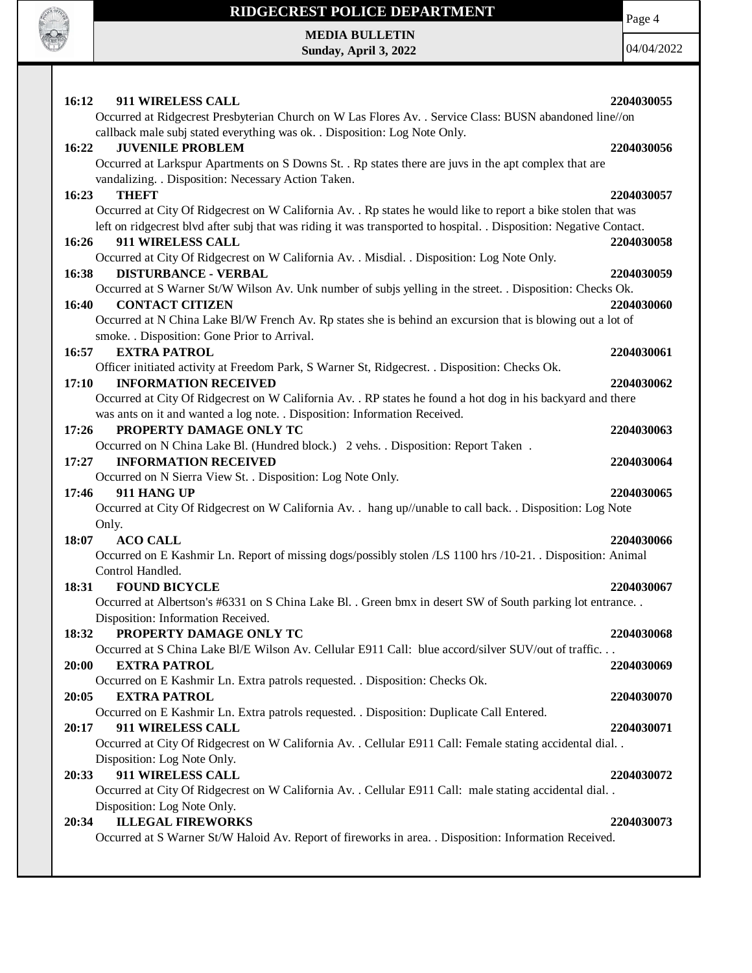

Page 4

**MEDIA BULLETIN Sunday, April 3, 2022**

04/04/2022

| 16:12 | 911 WIRELESS CALL                                                                                                   | 2204030055 |
|-------|---------------------------------------------------------------------------------------------------------------------|------------|
|       | Occurred at Ridgecrest Presbyterian Church on W Las Flores Av. . Service Class: BUSN abandoned line//on             |            |
|       | callback male subj stated everything was ok. . Disposition: Log Note Only.                                          |            |
| 16:22 | <b>JUVENILE PROBLEM</b>                                                                                             | 2204030056 |
|       | Occurred at Larkspur Apartments on S Downs St. . Rp states there are juvs in the apt complex that are               |            |
|       | vandalizing. . Disposition: Necessary Action Taken.                                                                 |            |
| 16:23 | <b>THEFT</b>                                                                                                        | 2204030057 |
|       | Occurred at City Of Ridgecrest on W California Av. . Rp states he would like to report a bike stolen that was       |            |
|       | left on ridgecrest blvd after subj that was riding it was transported to hospital. . Disposition: Negative Contact. |            |
| 16:26 | 911 WIRELESS CALL                                                                                                   | 2204030058 |
|       | Occurred at City Of Ridgecrest on W California Av. . Misdial. . Disposition: Log Note Only.                         |            |
| 16:38 | <b>DISTURBANCE - VERBAL</b>                                                                                         | 2204030059 |
|       | Occurred at S Warner St/W Wilson Av. Unk number of subjs yelling in the street. . Disposition: Checks Ok.           |            |
| 16:40 | <b>CONTACT CITIZEN</b>                                                                                              | 2204030060 |
|       | Occurred at N China Lake Bl/W French Av. Rp states she is behind an excursion that is blowing out a lot of          |            |
|       | smoke. . Disposition: Gone Prior to Arrival.                                                                        |            |
| 16:57 | <b>EXTRA PATROL</b>                                                                                                 | 2204030061 |
|       | Officer initiated activity at Freedom Park, S Warner St, Ridgecrest. . Disposition: Checks Ok.                      |            |
| 17:10 | <b>INFORMATION RECEIVED</b>                                                                                         | 2204030062 |
|       | Occurred at City Of Ridgecrest on W California Av. . RP states he found a hot dog in his backyard and there         |            |
|       | was ants on it and wanted a log note. . Disposition: Information Received.                                          |            |
| 17:26 | PROPERTY DAMAGE ONLY TC                                                                                             | 2204030063 |
|       | Occurred on N China Lake Bl. (Hundred block.) 2 vehs. . Disposition: Report Taken.                                  |            |
| 17:27 | <b>INFORMATION RECEIVED</b>                                                                                         | 2204030064 |
|       | Occurred on N Sierra View St. . Disposition: Log Note Only.                                                         |            |
| 17:46 | 911 HANG UP                                                                                                         | 2204030065 |
|       | Occurred at City Of Ridgecrest on W California Av. . hang up//unable to call back. . Disposition: Log Note          |            |
|       | Only.                                                                                                               |            |
| 18:07 | <b>ACO CALL</b>                                                                                                     | 2204030066 |
|       | Occurred on E Kashmir Ln. Report of missing dogs/possibly stolen /LS 1100 hrs /10-21. Disposition: Animal           |            |
|       | Control Handled.                                                                                                    |            |
| 18:31 | <b>FOUND BICYCLE</b>                                                                                                | 2204030067 |
|       | Occurred at Albertson's #6331 on S China Lake Bl. . Green bmx in desert SW of South parking lot entrance            |            |
| 18:32 | Disposition: Information Received.<br>PROPERTY DAMAGE ONLY TC                                                       | 2204030068 |
|       | Occurred at S China Lake Bl/E Wilson Av. Cellular E911 Call: blue accord/silver SUV/out of traffic                  |            |
| 20:00 | <b>EXTRA PATROL</b>                                                                                                 | 2204030069 |
|       | Occurred on E Kashmir Ln. Extra patrols requested. . Disposition: Checks Ok.                                        |            |
| 20:05 | <b>EXTRA PATROL</b>                                                                                                 | 2204030070 |
|       | Occurred on E Kashmir Ln. Extra patrols requested. . Disposition: Duplicate Call Entered.                           |            |
| 20:17 | 911 WIRELESS CALL                                                                                                   | 2204030071 |
|       | Occurred at City Of Ridgecrest on W California Av. . Cellular E911 Call: Female stating accidental dial. .          |            |
|       | Disposition: Log Note Only.                                                                                         |            |
| 20:33 | 911 WIRELESS CALL                                                                                                   | 2204030072 |
|       | Occurred at City Of Ridgecrest on W California Av. . Cellular E911 Call: male stating accidental dial. .            |            |
|       | Disposition: Log Note Only.                                                                                         |            |
| 20:34 | <b>ILLEGAL FIREWORKS</b>                                                                                            | 2204030073 |
|       | Occurred at S Warner St/W Haloid Av. Report of fireworks in area. . Disposition: Information Received.              |            |
|       |                                                                                                                     |            |